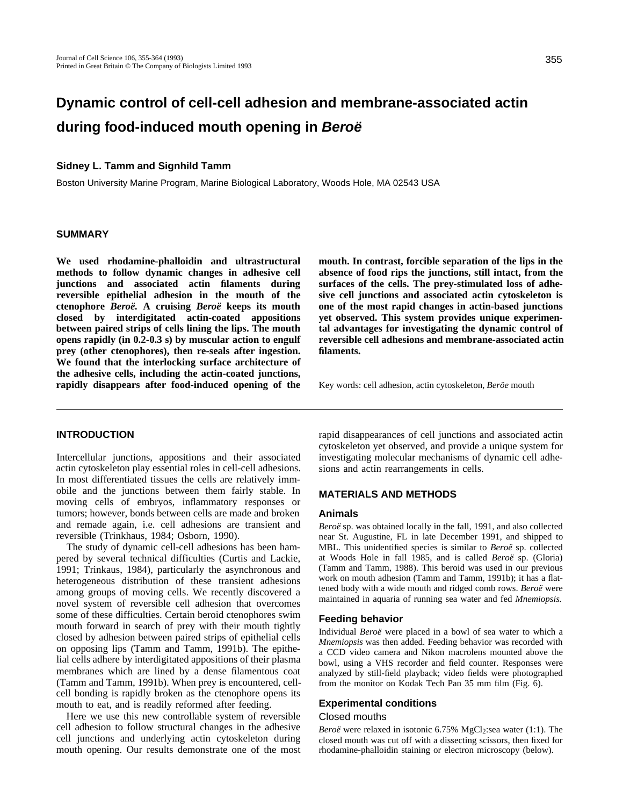# **Dynamic control of cell-cell adhesion and membrane-associated actin during food-induced mouth opening in Beroë**

# **Sidney L. Tamm and Signhild Tamm**

Boston University Marine Program, Marine Biological Laboratory, Woods Hole, MA 02543 USA

# **SUMMARY**

**We used rhodamine-phalloidin and ultrastructural methods to follow dynamic changes in adhesive cell junctions and associated actin filaments during reversible epithelial adhesion in the mouth of the ctenophore** *Beroë.* **A cruising** *Beroë* **keeps its mouth closed by interdigitated actin-coated appositions between paired strips of cells lining the lips. The mouth opens rapidly (in 0.2-0.3 s) by muscular action to engulf prey (other ctenophores), then re-seals after ingestion. We found that the interlocking surface architecture of the adhesive cells, including the actin-coated junctions, rapidly disappears after food-induced opening of the** **mouth. In contrast, forcible separation of the lips in the absence of food rips the junctions, still intact, from the surfaces of the cells. The prey-stimulated loss of adhesive cell junctions and associated actin cytoskeleton is one of the most rapid changes in actin-based junctions yet observed. This system provides unique experimental advantages for investigating the dynamic control of reversible cell adhesions and membrane-associated actin filaments.**

Key words: cell adhesion, actin cytoskeleton, *Beröe* mouth

# **INTRODUCTION**

Intercellular junctions, appositions and their associated actin cytoskeleton play essential roles in cell-cell adhesions. In most differentiated tissues the cells are relatively immobile and the junctions between them fairly stable. In moving cells of embryos, inflammatory responses or tumors; however, bonds between cells are made and broken and remade again, i.e. cell adhesions are transient and reversible (Trinkhaus, 1984; Osborn, 1990).

The study of dynamic cell-cell adhesions has been hampered by several technical difficulties (Curtis and Lackie, 1991; Trinkaus, 1984), particularly the asynchronous and heterogeneous distribution of these transient adhesions among groups of moving cells. We recently discovered a novel system of reversible cell adhesion that overcomes some of these difficulties. Certain beroid ctenophores swim mouth forward in search of prey with their mouth tightly closed by adhesion between paired strips of epithelial cells on opposing lips (Tamm and Tamm, 1991b). The epithelial cells adhere by interdigitated appositions of their plasma membranes which are lined by a dense filamentous coat (Tamm and Tamm, 1991b). When prey is encountered, cellcell bonding is rapidly broken as the ctenophore opens its mouth to eat, and is readily reformed after feeding.

Here we use this new controllable system of reversible cell adhesion to follow structural changes in the adhesive cell junctions and underlying actin cytoskeleton during mouth opening. Our results demonstrate one of the most rapid disappearances of cell junctions and associated actin cytoskeleton yet observed, and provide a unique system for investigating molecular mechanisms of dynamic cell adhesions and actin rearrangements in cells.

#### **MATERIALS AND METHODS**

#### **Animals**

*Beroë* sp. was obtained locally in the fall, 1991, and also collected near St. Augustine, FL in late December 1991, and shipped to MBL. This unidentified species is similar to *Beroë* sp. collected at Woods Hole in fall 1985, and is called *Beroë* sp. (Gloria) (Tamm and Tamm, 1988). This beroid was used in our previous work on mouth adhesion (Tamm and Tamm, 1991b); it has a flattened body with a wide mouth and ridged comb rows. *Beroë* were maintained in aquaria of running sea water and fed *Mnemiopsis.*

#### **Feeding behavior**

Individual *Beroë* were placed in a bowl of sea water to which a *Mnemiopsis* was then added. Feeding behavior was recorded with a CCD video camera and Nikon macrolens mounted above the bowl, using a VHS recorder and field counter. Responses were analyzed by still-field playback; video fields were photographed from the monitor on Kodak Tech Pan 35 mm film (Fig. 6).

## **Experimental conditions**

## Closed mouths

*Beroë* were relaxed in isotonic 6.75% MgCl<sub>2</sub>:sea water (1:1). The closed mouth was cut off with a dissecting scissors, then fixed for rhodamine-phalloidin staining or electron microscopy (below).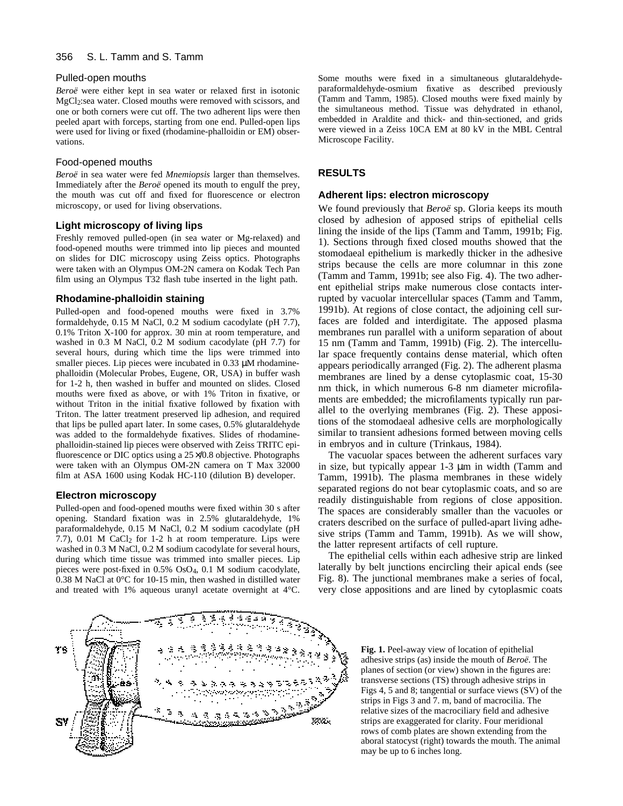## Pulled-open mouths

*Beroë* were either kept in sea water or relaxed first in isotonic MgCl2:sea water. Closed mouths were removed with scissors, and one or both corners were cut off. The two adherent lips were then peeled apart with forceps, starting from one end. Pulled-open lips were used for living or fixed (rhodamine-phalloidin or EM) observations.

## Food-opened mouths

*Beroë* in sea water were fed *Mnemiopsis* larger than themselves. Immediately after the *Beroë* opened its mouth to engulf the prey, the mouth was cut off and fixed for fluorescence or electron microscopy, or used for living observations.

## **Light microscopy of living lips**

Freshly removed pulled-open (in sea water or Mg-relaxed) and food-opened mouths were trimmed into lip pieces and mounted on slides for DIC microscopy using Zeiss optics. Photographs were taken with an Olympus OM-2N camera on Kodak Tech Pan film using an Olympus T32 flash tube inserted in the light path.

## **Rhodamine-phalloidin staining**

Pulled-open and food-opened mouths were fixed in 3.7% formaldehyde, 0.15 M NaCl, 0.2 M sodium cacodylate (pH 7.7), 0.1% Triton X-100 for approx. 30 min at room temperature, and washed in 0.3 M NaCl, 0.2 M sodium cacodylate (pH 7.7) for several hours, during which time the lips were trimmed into smaller pieces. Lip pieces were incubated in 0.33 μM rhodaminephalloidin (Molecular Probes, Eugene, OR, USA) in buffer wash for 1-2 h, then washed in buffer and mounted on slides. Closed mouths were fixed as above, or with 1% Triton in fixative, or without Triton in the initial fixative followed by fixation with Triton. The latter treatment preserved lip adhesion, and required that lips be pulled apart later. In some cases, 0.5% glutaraldehyde was added to the formaldehyde fixatives. Slides of rhodaminephalloidin-stained lip pieces were observed with Zeiss TRITC epifluorescence or DIC optics using a  $25 \times 0.8$  objective. Photographs were taken with an Olympus OM-2N camera on T Max 32000 film at ASA 1600 using Kodak HC-110 (dilution B) developer.

#### **Electron microscopy**

Pulled-open and food-opened mouths were fixed within 30 s after opening. Standard fixation was in 2.5% glutaraldehyde, 1% paraformaldehyde, 0.15 M NaCl, 0.2 M sodium cacodylate (pH 7.7),  $0.01$  M CaCl<sub>2</sub> for 1-2 h at room temperature. Lips were washed in 0.3 M NaCl, 0.2 M sodium cacodylate for several hours, during which time tissue was trimmed into smaller pieces. Lip pieces were post-fixed in 0.5% OsO4, 0.1 M sodium cacodylate, 0.38 M NaCl at 0°C for 10-15 min, then washed in distilled water and treated with 1% aqueous uranyl acetate overnight at 4°C.

Some mouths were fixed in a simultaneous glutaraldehydeparaformaldehyde-osmium fixative as described previously (Tamm and Tamm, 1985). Closed mouths were fixed mainly by the simultaneous method. Tissue was dehydrated in ethanol, embedded in Araldite and thick- and thin-sectioned, and grids were viewed in a Zeiss 10CA EM at 80 kV in the MBL Central Microscope Facility.

# **RESULTS**

#### **Adherent lips: electron microscopy**

We found previously that *Beroë* sp. Gloria keeps its mouth closed by adhesion of apposed strips of epithelial cells lining the inside of the lips (Tamm and Tamm, 1991b; Fig. 1). Sections through fixed closed mouths showed that the stomodaeal epithelium is markedly thicker in the adhesive strips because the cells are more columnar in this zone (Tamm and Tamm, 1991b; see also Fig. 4). The two adherent epithelial strips make numerous close contacts interrupted by vacuolar intercellular spaces (Tamm and Tamm, 1991b). At regions of close contact, the adjoining cell surfaces are folded and interdigitate. The apposed plasma membranes run parallel with a uniform separation of about 15 nm (Tamm and Tamm, 1991b) (Fig. 2). The intercellular space frequently contains dense material, which often appears periodically arranged (Fig. 2). The adherent plasma membranes are lined by a dense cytoplasmic coat, 15-30 nm thick, in which numerous 6-8 nm diameter microfilaments are embedded; the microfilaments typically run parallel to the overlying membranes (Fig. 2). These appositions of the stomodaeal adhesive cells are morphologically similar to transient adhesions formed between moving cells in embryos and in culture (Trinkaus, 1984).

The vacuolar spaces between the adherent surfaces vary in size, but typically appear  $1-3 \mu m$  in width (Tamm and Tamm, 1991b). The plasma membranes in these widely separated regions do not bear cytoplasmic coats, and so are readily distinguishable from regions of close apposition. The spaces are considerably smaller than the vacuoles or craters described on the surface of pulled-apart living adhesive strips (Tamm and Tamm, 1991b). As we will show, the latter represent artifacts of cell rupture.

The epithelial cells within each adhesive strip are linked laterally by belt junctions encircling their apical ends (see Fig. 8). The junctional membranes make a series of focal, very close appositions and are lined by cytoplasmic coats



**Fig. 1.** Peel-away view of location of epithelial adhesive strips (as) inside the mouth of *Beroë*. The planes of section (or view) shown in the figures are: transverse sections (TS) through adhesive strips in Figs 4, 5 and 8; tangential or surface views (SV) of the strips in Figs 3 and 7. m, band of macrocilia. The relative sizes of the macrociliary field and adhesive strips are exaggerated for clarity. Four meridional rows of comb plates are shown extending from the aboral statocyst (right) towards the mouth. The animal may be up to 6 inches long.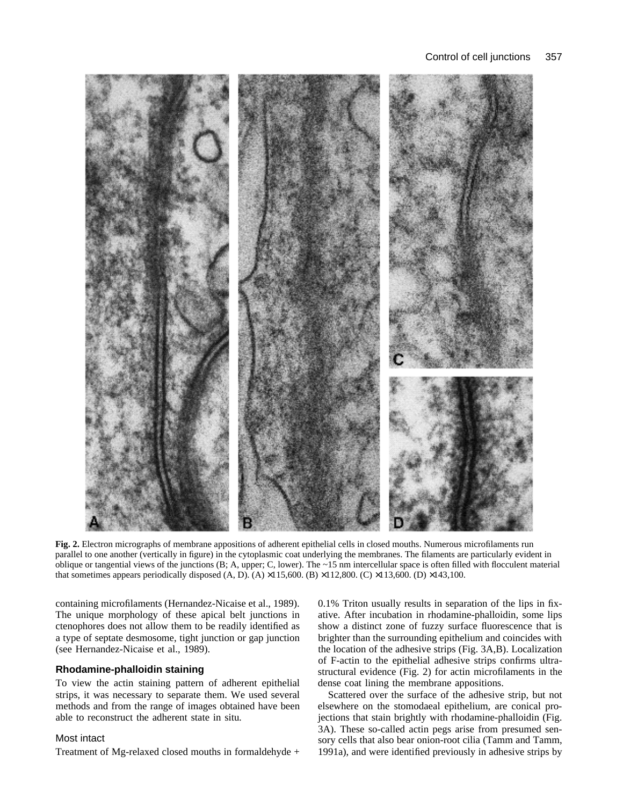

**Fig. 2.** Electron micrographs of membrane appositions of adherent epithelial cells in closed mouths. Numerous microfilaments run parallel to one another (vertically in figure) in the cytoplasmic coat underlying the membranes. The filaments are particularly evident in oblique or tangential views of the junctions (B; A, upper; C, lower). The ~15 nm intercellular space is often filled with flocculent material that sometimes appears periodically disposed (A, D). (A)  $\times$ 115,600. (B)  $\times$ 112,800. (C)  $\times$ 113,600. (D)  $\times$ 143,100.

containing microfilaments (Hernandez-Nicaise et al., 1989). The unique morphology of these apical belt junctions in ctenophores does not allow them to be readily identified as a type of septate desmosome, tight junction or gap junction (see Hernandez-Nicaise et al., 1989).

# **Rhodamine-phalloidin staining**

To view the actin staining pattern of adherent epithelial strips, it was necessary to separate them. We used several methods and from the range of images obtained have been able to reconstruct the adherent state in situ*.*

#### Most intact

Treatment of Mg-relaxed closed mouths in formaldehyde +

0.1% Triton usually results in separation of the lips in fixative. After incubation in rhodamine-phalloidin, some lips show a distinct zone of fuzzy surface fluorescence that is brighter than the surrounding epithelium and coincides with the location of the adhesive strips (Fig. 3A,B). Localization of F-actin to the epithelial adhesive strips confirms ultrastructural evidence (Fig. 2) for actin microfilaments in the dense coat lining the membrane appositions.

Scattered over the surface of the adhesive strip, but not elsewhere on the stomodaeal epithelium, are conical projections that stain brightly with rhodamine-phalloidin (Fig. 3A). These so-called actin pegs arise from presumed sensory cells that also bear onion-root cilia (Tamm and Tamm, 1991a), and were identified previously in adhesive strips by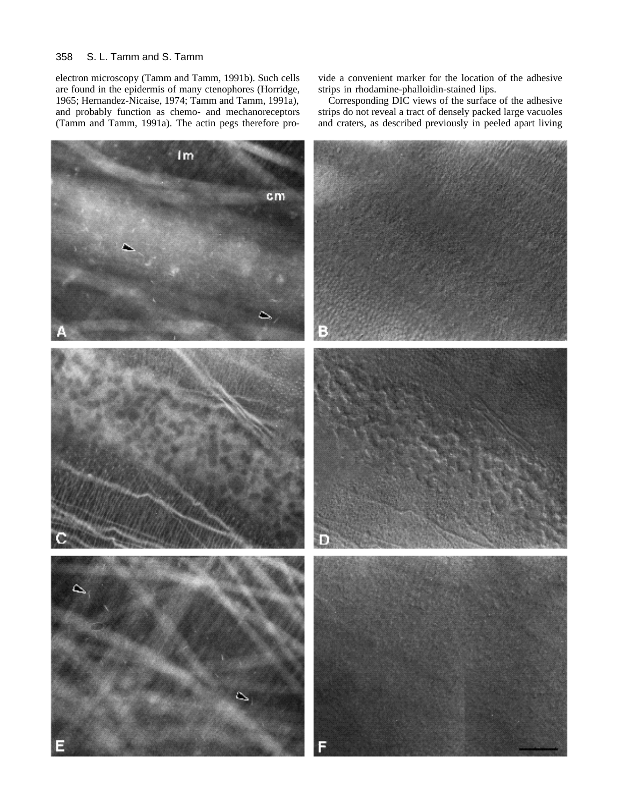#### 358 S. L. Tamm and S. Tamm

electron microscopy (Tamm and Tamm, 1991b). Such cells are found in the epidermis of many ctenophores (Horridge, 1965; Hernandez-Nicaise, 1974; Tamm and Tamm, 1991a), and probably function as chemo- and mechanoreceptors (Tamm and Tamm, 1991a). The actin pegs therefore pro-

vide a convenient marker for the location of the adhesive strips in rhodamine-phalloidin-stained lips.

Corresponding DIC views of the surface of the adhesive strips do not reveal a tract of densely packed large vacuoles and craters, as described previously in peeled apart living

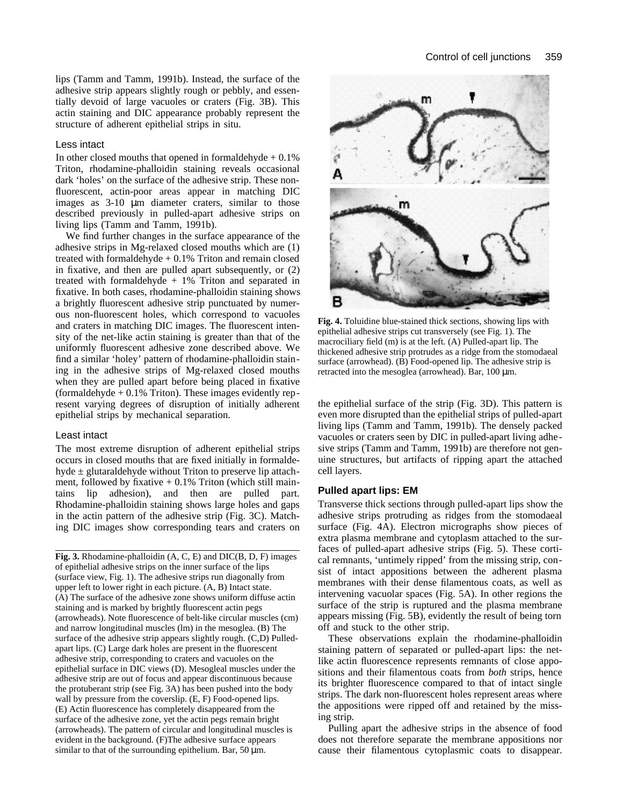lips (Tamm and Tamm, 1991b). Instead, the surface of the adhesive strip appears slightly rough or pebbly, and essentially devoid of large vacuoles or craters (Fig. 3B). This actin staining and DIC appearance probably represent the structure of adherent epithelial strips in situ.

# Less intact

In other closed mouths that opened in formaldehyde  $+0.1\%$ Triton, rhodamine-phalloidin staining reveals occasional dark 'holes' on the surface of the adhesive strip. These nonfluorescent, actin-poor areas appear in matching DIC images as 3-10 μm diameter craters, similar to those described previously in pulled-apart adhesive strips on living lips (Tamm and Tamm, 1991b).

We find further changes in the surface appearance of the adhesive strips in Mg-relaxed closed mouths which are (1) treated with formaldehyde  $+0.1\%$  Triton and remain closed in fixative, and then are pulled apart subsequently, or (2) treated with formaldehyde  $+1\%$  Triton and separated in fixative. In both cases, rhodamine-phalloidin staining shows a brightly fluorescent adhesive strip punctuated by numerous non-fluorescent holes, which correspond to vacuoles and craters in matching DIC images. The fluorescent intensity of the net-like actin staining is greater than that of the uniformly fluorescent adhesive zone described above. We find a similar 'holey' pattern of rhodamine-phalloidin staining in the adhesive strips of Mg-relaxed closed mouths when they are pulled apart before being placed in fixative (formaldehyde  $+ 0.1\%$  Triton). These images evidently represent varying degrees of disruption of initially adherent epithelial strips by mechanical separation.

#### Least intact

The most extreme disruption of adherent epithelial strips occurs in closed mouths that are fixed initially in formaldehyde  $\pm$  glutaraldehyde without Triton to preserve lip attachment, followed by fixative  $+0.1\%$  Triton (which still maintains lip adhesion), and then are pulled part. Rhodamine-phalloidin staining shows large holes and gaps in the actin pattern of the adhesive strip (Fig. 3C). Matching DIC images show corresponding tears and craters on

**Fig. 3.** Rhodamine-phalloidin (A, C, E) and DIC(B, D, F) images of epithelial adhesive strips on the inner surface of the lips (surface view, Fig. 1). The adhesive strips run diagonally from upper left to lower right in each picture. (A, B) Intact state. (A) The surface of the adhesive zone shows uniform diffuse actin staining and is marked by brightly fluorescent actin pegs (arrowheads). Note fluorescence of belt-like circular muscles (cm) and narrow longitudinal muscles (lm) in the mesoglea. (B) The surface of the adhesive strip appears slightly rough. (C,D) Pulledapart lips. (C) Large dark holes are present in the fluorescent adhesive strip, corresponding to craters and vacuoles on the epithelial surface in DIC views (D). Mesogleal muscles under the adhesive strip are out of focus and appear discontinuous because the protuberant strip (see Fig. 3A) has been pushed into the body wall by pressure from the coverslip. (E, F) Food-opened lips. (E) Actin fluorescence has completely disappeared from the surface of the adhesive zone, yet the actin pegs remain bright (arrowheads). The pattern of circular and longitudinal muscles is evident in the background. (F)The adhesive surface appears similar to that of the surrounding epithelium. Bar, 50  $\mu$ m.



**Fig. 4.** Toluidine blue-stained thick sections, showing lips with epithelial adhesive strips cut transversely (see Fig. 1). The macrociliary field (m) is at the left. (A) Pulled-apart lip. The thickened adhesive strip protrudes as a ridge from the stomodaeal surface (arrowhead). (B) Food-opened lip. The adhesive strip is retracted into the mesoglea (arrowhead). Bar, 100 μm.

the epithelial surface of the strip (Fig. 3D). This pattern is even more disrupted than the epithelial strips of pulled-apart living lips (Tamm and Tamm, 1991b). The densely packed vacuoles or craters seen by DIC in pulled-apart living adhesive strips (Tamm and Tamm, 1991b) are therefore not genuine structures, but artifacts of ripping apart the attached cell layers.

# **Pulled apart lips: EM**

Transverse thick sections through pulled-apart lips show the adhesive strips protruding as ridges from the stomodaeal surface (Fig. 4A). Electron micrographs show pieces of extra plasma membrane and cytoplasm attached to the surfaces of pulled-apart adhesive strips (Fig. 5). These cortical remnants, 'untimely ripped' from the missing strip, consist of intact appositions between the adherent plasma membranes with their dense filamentous coats, as well as intervening vacuolar spaces (Fig. 5A). In other regions the surface of the strip is ruptured and the plasma membrane appears missing (Fig. 5B), evidently the result of being torn off and stuck to the other strip.

These observations explain the rhodamine-phalloidin staining pattern of separated or pulled-apart lips: the netlike actin fluorescence represents remnants of close appositions and their filamentous coats from *both* strips, hence its brighter fluorescence compared to that of intact single strips. The dark non-fluorescent holes represent areas where the appositions were ripped off and retained by the missing strip.

Pulling apart the adhesive strips in the absence of food does not therefore separate the membrane appositions nor cause their filamentous cytoplasmic coats to disappear.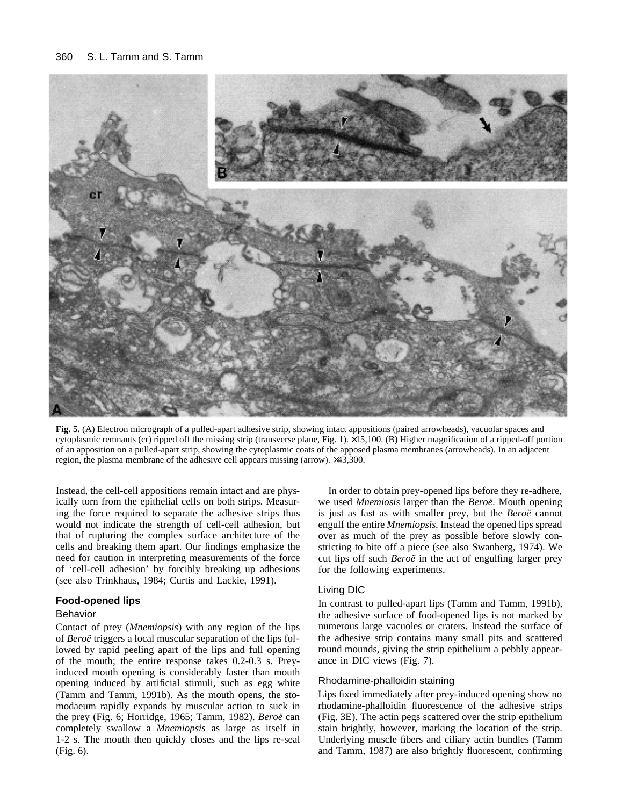#### 360 S. L. Tamm and S. Tamm



**Fig. 5.** (A) Electron micrograph of a pulled-apart adhesive strip, showing intact appositions (paired arrowheads), vacuolar spaces and cytoplasmic remnants (cr) ripped off the missing strip (transverse plane, Fig. 1). ×15,100. (B) Higher magnification of a ripped-off portion of an apposition on a pulled-apart strip, showing the cytoplasmic coats of the apposed plasma membranes (arrowheads). In an adjacent region, the plasma membrane of the adhesive cell appears missing (arrow). ×43,300.

Instead, the cell-cell appositions remain intact and are physically torn from the epithelial cells on both strips. Measuring the force required to separate the adhesive strips thus would not indicate the strength of cell-cell adhesion, but that of rupturing the complex surface architecture of the cells and breaking them apart. Our findings emphasize the need for caution in interpreting measurements of the force of 'cell-cell adhesion' by forcibly breaking up adhesions (see also Trinkhaus, 1984; Curtis and Lackie, 1991).

# **Food-opened lips**

## Behavior

Contact of prey (*Mnemiopsis*) with any region of the lips of *Beroë* triggers a local muscular separation of the lips followed by rapid peeling apart of the lips and full opening of the mouth; the entire response takes 0.2-0.3 s. Preyinduced mouth opening is considerably faster than mouth opening induced by artificial stimuli, such as egg white (Tamm and Tamm, 1991b). As the mouth opens, the stomodaeum rapidly expands by muscular action to suck in the prey (Fig. 6; Horridge, 1965; Tamm, 1982). *Beroë* can completely swallow a *Mnemiopsis* as large as itself in 1-2 s. The mouth then quickly closes and the lips re-seal (Fig. 6).

In order to obtain prey-opened lips before they re-adhere, we used *Mnemiosis* larger than the *Beroë*. Mouth opening is just as fast as with smaller prey, but the *Beroë* cannot engulf the entire *Mnemiopsis*. Instead the opened lips spread over as much of the prey as possible before slowly constricting to bite off a piece (see also Swanberg, 1974). We cut lips off such *Beroë* in the act of engulfing larger prey for the following experiments.

#### Living DIC

In contrast to pulled-apart lips (Tamm and Tamm, 1991b), the adhesive surface of food-opened lips is not marked by numerous large vacuoles or craters. Instead the surface of the adhesive strip contains many small pits and scattered round mounds, giving the strip epithelium a pebbly appearance in DIC views (Fig. 7).

## Rhodamine-phalloidin staining

Lips fixed immediately after prey-induced opening show no rhodamine-phalloidin fluorescence of the adhesive strips (Fig. 3E). The actin pegs scattered over the strip epithelium stain brightly, however, marking the location of the strip. Underlying muscle fibers and ciliary actin bundles (Tamm and Tamm, 1987) are also brightly fluorescent, confirming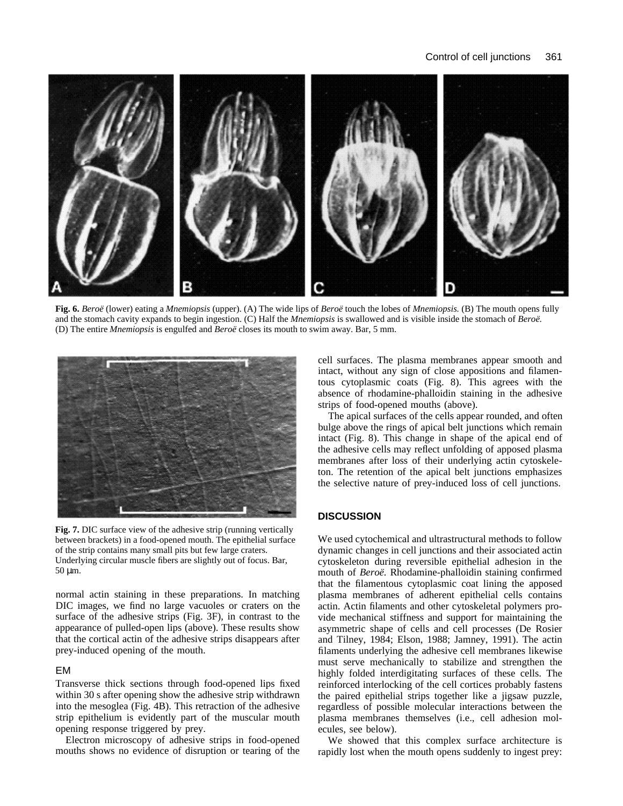

**Fig. 6.** *Beroë* (lower) eating a *Mnemiopsis* (upper). (A) The wide lips of *Beroë* touch the lobes of *Mnemiopsis.* (B) The mouth opens fully and the stomach cavity expands to begin ingestion. (C) Half the *Mnemiopsis* is swallowed and is visible inside the stomach of *Beroë.* (D) The entire *Mnemiopsis* is engulfed and *Beroë* closes its mouth to swim away. Bar, 5 mm.



Fig. 7. DIC surface view of the adhesive strip (running vertically between brackets) in a food-opened mouth. The epithelial surface of the strip contains many small pits but few large craters. Underlying circular muscle fibers are slightly out of focus. Bar, 50 μm.

normal actin staining in these preparations. In matching DIC images, we find no large vacuoles or craters on the surface of the adhesive strips (Fig. 3F), in contrast to the appearance of pulled-open lips (above). These results show that the cortical actin of the adhesive strips disappears after prey-induced opening of the mouth.

# EM

Transverse thick sections through food-opened lips fixed within 30 s after opening show the adhesive strip withdrawn into the mesoglea (Fig. 4B). This retraction of the adhesive strip epithelium is evidently part of the muscular mouth opening response triggered by prey.

Electron microscopy of adhesive strips in food-opened mouths shows no evidence of disruption or tearing of the cell surfaces. The plasma membranes appear smooth and intact, without any sign of close appositions and filamentous cytoplasmic coats (Fig. 8). This agrees with the absence of rhodamine-phalloidin staining in the adhesive strips of food-opened mouths (above).

The apical surfaces of the cells appear rounded, and often bulge above the rings of apical belt junctions which remain intact (Fig. 8). This change in shape of the apical end of the adhesive cells may reflect unfolding of apposed plasma membranes after loss of their underlying actin cytoskeleton. The retention of the apical belt junctions emphasizes the selective nature of prey-induced loss of cell junctions.

## **DISCUSSION**

We used cytochemical and ultrastructural methods to follow dynamic changes in cell junctions and their associated actin cytoskeleton during reversible epithelial adhesion in the mouth of *Beroë.* Rhodamine-phalloidin staining confirmed that the filamentous cytoplasmic coat lining the apposed plasma membranes of adherent epithelial cells contains actin. Actin filaments and other cytoskeletal polymers provide mechanical stiffness and support for maintaining the asymmetric shape of cells and cell processes (De Rosier and Tilney, 1984; Elson, 1988; Jamney, 1991). The actin filaments underlying the adhesive cell membranes likewise must serve mechanically to stabilize and strengthen the highly folded interdigitating surfaces of these cells. The reinforced interlocking of the cell cortices probably fastens the paired epithelial strips together like a jigsaw puzzle, regardless of possible molecular interactions between the plasma membranes themselves (i.e., cell adhesion molecules, see below).

We showed that this complex surface architecture is rapidly lost when the mouth opens suddenly to ingest prey: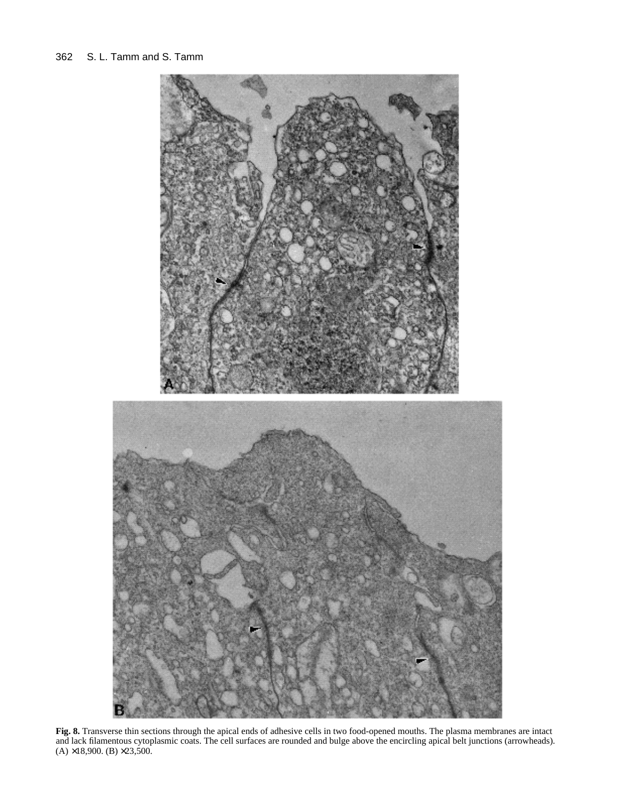

**Fig. 8.** Transverse thin sections through the apical ends of adhesive cells in two food-opened mouths. The plasma membranes are intact and lack filamentous cytoplasmic coats. The cell surfaces are rounded and bulge above the encircling apical belt junctions (arrowheads).  $(A) \times 18,900$ . (B)  $\times 23,500$ .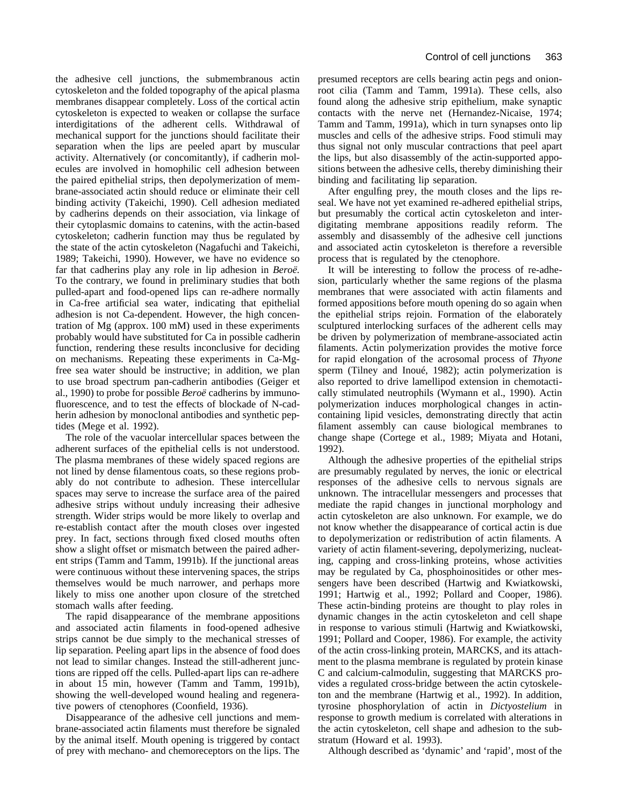the adhesive cell junctions, the submembranous actin cytoskeleton and the folded topography of the apical plasma membranes disappear completely. Loss of the cortical actin cytoskeleton is expected to weaken or collapse the surface interdigitations of the adherent cells. Withdrawal of mechanical support for the junctions should facilitate their separation when the lips are peeled apart by muscular activity. Alternatively (or concomitantly), if cadherin molecules are involved in homophilic cell adhesion between the paired epithelial strips, then depolymerization of membrane-associated actin should reduce or eliminate their cell binding activity (Takeichi, 1990). Cell adhesion mediated by cadherins depends on their association, via linkage of their cytoplasmic domains to catenins, with the actin-based cytoskeleton; cadherin function may thus be regulated by the state of the actin cytoskeleton (Nagafuchi and Takeichi, 1989; Takeichi, 1990). However, we have no evidence so far that cadherins play any role in lip adhesion in *Beroë.* To the contrary, we found in preliminary studies that both pulled-apart and food-opened lips can re-adhere normally in Ca-free artificial sea water, indicating that epithelial adhesion is not Ca-dependent. However, the high concentration of Mg (approx. 100 mM) used in these experiments probably would have substituted for Ca in possible cadherin function, rendering these results inconclusive for deciding on mechanisms. Repeating these experiments in Ca-Mgfree sea water should be instructive; in addition, we plan to use broad spectrum pan-cadherin antibodies (Geiger et al., 1990) to probe for possible *Beroë* cadherins by immunofluorescence, and to test the effects of blockade of N-cadherin adhesion by monoclonal antibodies and synthetic peptides (Mege et al. 1992).

The role of the vacuolar intercellular spaces between the adherent surfaces of the epithelial cells is not understood. The plasma membranes of these widely spaced regions are not lined by dense filamentous coats, so these regions probably do not contribute to adhesion. These intercellular spaces may serve to increase the surface area of the paired adhesive strips without unduly increasing their adhesive strength. Wider strips would be more likely to overlap and re-establish contact after the mouth closes over ingested prey. In fact, sections through fixed closed mouths often show a slight offset or mismatch between the paired adherent strips (Tamm and Tamm, 1991b). If the junctional areas were continuous without these intervening spaces, the strips themselves would be much narrower, and perhaps more likely to miss one another upon closure of the stretched stomach walls after feeding.

The rapid disappearance of the membrane appositions and associated actin filaments in food-opened adhesive strips cannot be due simply to the mechanical stresses of lip separation. Peeling apart lips in the absence of food does not lead to similar changes. Instead the still-adherent junctions are ripped off the cells. Pulled-apart lips can re-adhere in about 15 min, however (Tamm and Tamm, 1991b), showing the well-developed wound healing and regenerative powers of ctenophores (Coonfield, 1936).

Disappearance of the adhesive cell junctions and membrane-associated actin filaments must therefore be signaled by the animal itself. Mouth opening is triggered by contact of prey with mechano- and chemoreceptors on the lips. The presumed receptors are cells bearing actin pegs and onionroot cilia (Tamm and Tamm, 1991a). These cells, also found along the adhesive strip epithelium, make synaptic contacts with the nerve net (Hernandez-Nicaise, 1974; Tamm and Tamm, 1991a), which in turn synapses onto lip muscles and cells of the adhesive strips. Food stimuli may thus signal not only muscular contractions that peel apart the lips, but also disassembly of the actin-supported appositions between the adhesive cells, thereby diminishing their binding and facilitating lip separation.

After engulfing prey, the mouth closes and the lips reseal. We have not yet examined re-adhered epithelial strips, but presumably the cortical actin cytoskeleton and interdigitating membrane appositions readily reform. The assembly and disassembly of the adhesive cell junctions and associated actin cytoskeleton is therefore a reversible process that is regulated by the ctenophore.

It will be interesting to follow the process of re-adhesion, particularly whether the same regions of the plasma membranes that were associated with actin filaments and formed appositions before mouth opening do so again when the epithelial strips rejoin. Formation of the elaborately sculptured interlocking surfaces of the adherent cells may be driven by polymerization of membrane-associated actin filaments. Actin polymerization provides the motive force for rapid elongation of the acrosomal process of *Thyone* sperm (Tilney and Inoué, 1982); actin polymerization is also reported to drive lamellipod extension in chemotactically stimulated neutrophils (Wymann et al., 1990). Actin polymerization induces morphological changes in actincontaining lipid vesicles, demonstrating directly that actin filament assembly can cause biological membranes to change shape (Cortege et al., 1989; Miyata and Hotani, 1992).

Although the adhesive properties of the epithelial strips are presumably regulated by nerves, the ionic or electrical responses of the adhesive cells to nervous signals are unknown. The intracellular messengers and processes that mediate the rapid changes in junctional morphology and actin cytoskeleton are also unknown. For example, we do not know whether the disappearance of cortical actin is due to depolymerization or redistribution of actin filaments. A variety of actin filament-severing, depolymerizing, nucleating, capping and cross-linking proteins, whose activities may be regulated by Ca, phosphoinositides or other messengers have been described (Hartwig and Kwiatkowski, 1991; Hartwig et al., 1992; Pollard and Cooper, 1986). These actin-binding proteins are thought to play roles in dynamic changes in the actin cytoskeleton and cell shape in response to various stimuli (Hartwig and Kwiatkowski, 1991; Pollard and Cooper, 1986). For example, the activity of the actin cross-linking protein, MARCKS, and its attachment to the plasma membrane is regulated by protein kinase C and calcium-calmodulin, suggesting that MARCKS provides a regulated cross-bridge between the actin cytoskeleton and the membrane (Hartwig et al., 1992). In addition, tyrosine phosphorylation of actin in *Dictyostelium* in response to growth medium is correlated with alterations in the actin cytoskeleton, cell shape and adhesion to the substratum (Howard et al. 1993).

Although described as 'dynamic' and 'rapid', most of the